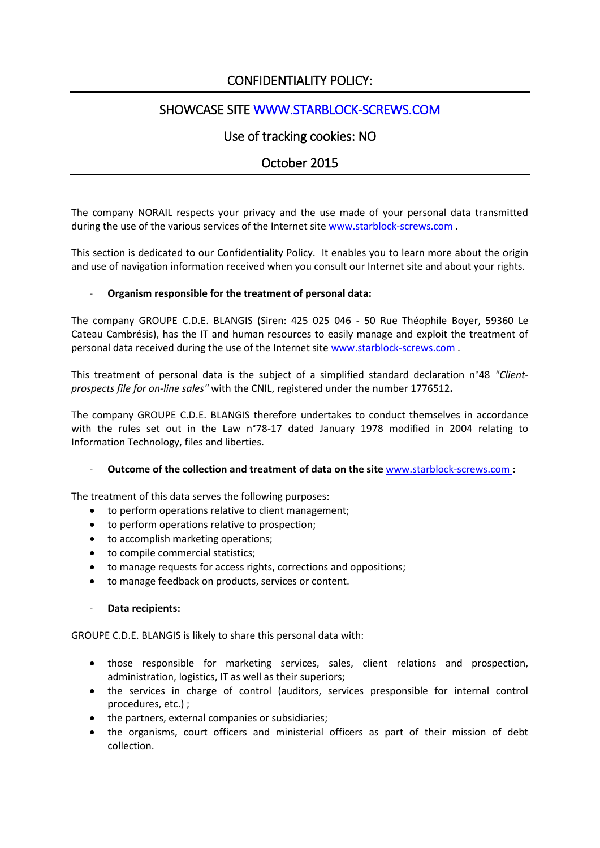# CONFIDENTIALITY POLICY:

# SHOWCASE SITE [WWW.STARBLOCK-SCREWS.COM](http://www.starblock-screws.com/)

# Use of tracking cookies: NO

## October 2015

The company NORAIL respects your privacy and the use made of your personal data transmitted during the use of the various services of the Internet site [www.starblock-screws.com](http://www.starblock-screws.com/) .

This section is dedicated to our Confidentiality Policy. It enables you to learn more about the origin and use of navigation information received when you consult our Internet site and about your rights.

### - **Organism responsible for the treatment of personal data:**

The company GROUPE C.D.E. BLANGIS (Siren: 425 025 046 - 50 Rue Théophile Boyer, 59360 Le Cateau Cambrésis), has the IT and human resources to easily manage and exploit the treatment of personal data received during the use of the Internet sit[e www.starblock-screws.com](http://www.guitel.fr/) .

This treatment of personal data is the subject of a simplified standard declaration n°48 *"Clientprospects file for on-line sales"* with the CNIL, registered under the number 1776512**.** 

The company GROUPE C.D.E. BLANGIS therefore undertakes to conduct themselves in accordance with the rules set out in the Law n°78-17 dated January 1978 modified in 2004 relating to Information Technology, files and liberties.

### - **Outcome of the collection and treatment of data on the site** [www.starblock-screws.com](http://www.guitel.fr/) **:**

The treatment of this data serves the following purposes:

- to perform operations relative to client management;
- to perform operations relative to prospection;
- to accomplish marketing operations;
- to compile commercial statistics;
- to manage requests for access rights, corrections and oppositions;
- to manage feedback on products, services or content.
- **Data recipients:**

GROUPE C.D.E. BLANGIS is likely to share this personal data with:

- those responsible for marketing services, sales, client relations and prospection, administration, logistics, IT as well as their superiors;
- the services in charge of control (auditors, services presponsible for internal control procedures, etc.) ;
- the partners, external companies or subsidiaries;
- the organisms, court officers and ministerial officers as part of their mission of debt collection.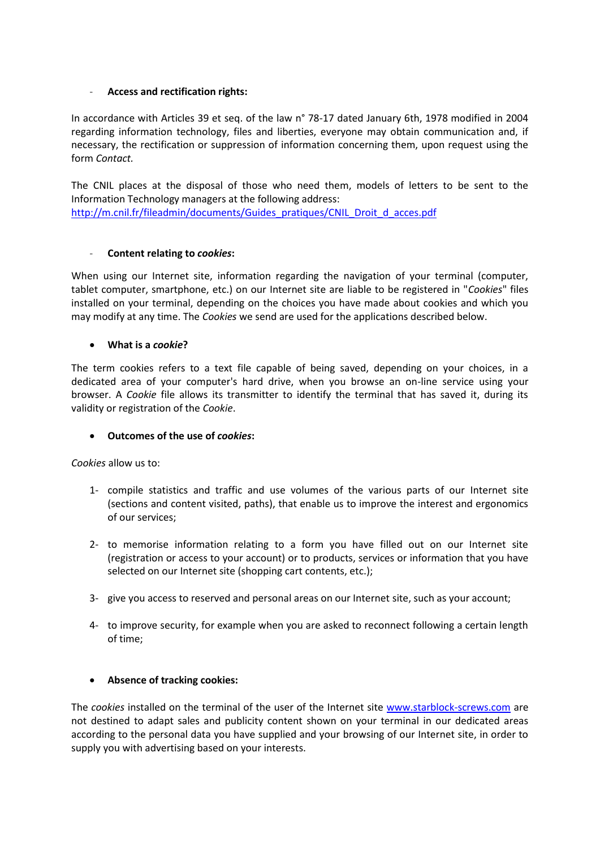#### - **Access and rectification rights:**

In accordance with Articles 39 et seq. of the law n° 78-17 dated January 6th, 1978 modified in 2004 regarding information technology, files and liberties, everyone may obtain communication and, if necessary, the rectification or suppression of information concerning them, upon request using the form *Contact.*

The CNIL places at the disposal of those who need them, models of letters to be sent to the Information Technology managers at the following address: [http://m.cnil.fr/fileadmin/documents/Guides\\_pratiques/CNIL\\_Droit\\_d\\_acces.pdf](http://m.cnil.fr/fileadmin/documents/Guides_pratiques/CNIL_Droit_d_acces.pdf)

#### - **Content relating to** *cookies***:**

When using our Internet site, information regarding the navigation of your terminal (computer, tablet computer, smartphone, etc.) on our Internet site are liable to be registered in "*Cookies*" files installed on your terminal, depending on the choices you have made about cookies and which you may modify at any time. The *Cookies* we send are used for the applications described below.

#### **What is a** *cookie***?**

The term cookies refers to a text file capable of being saved, depending on your choices, in a dedicated area of your computer's hard drive, when you browse an on-line service using your browser. A *Cookie* file allows its transmitter to identify the terminal that has saved it, during its validity or registration of the *Cookie*.

### **Outcomes of the use of** *cookies***:**

*Cookies* allow us to:

- 1- compile statistics and traffic and use volumes of the various parts of our Internet site (sections and content visited, paths), that enable us to improve the interest and ergonomics of our services;
- 2- to memorise information relating to a form you have filled out on our Internet site (registration or access to your account) or to products, services or information that you have selected on our Internet site (shopping cart contents, etc.);
- 3- give you access to reserved and personal areas on our Internet site, such as your account;
- 4- to improve security, for example when you are asked to reconnect following a certain length of time;

#### **Absence of tracking cookies:**

The *cookies* installed on the terminal of the user of the Internet site [www.starblock-screws.com](http://www.guitel.fr/) are not destined to adapt sales and publicity content shown on your terminal in our dedicated areas according to the personal data you have supplied and your browsing of our Internet site, in order to supply you with advertising based on your interests.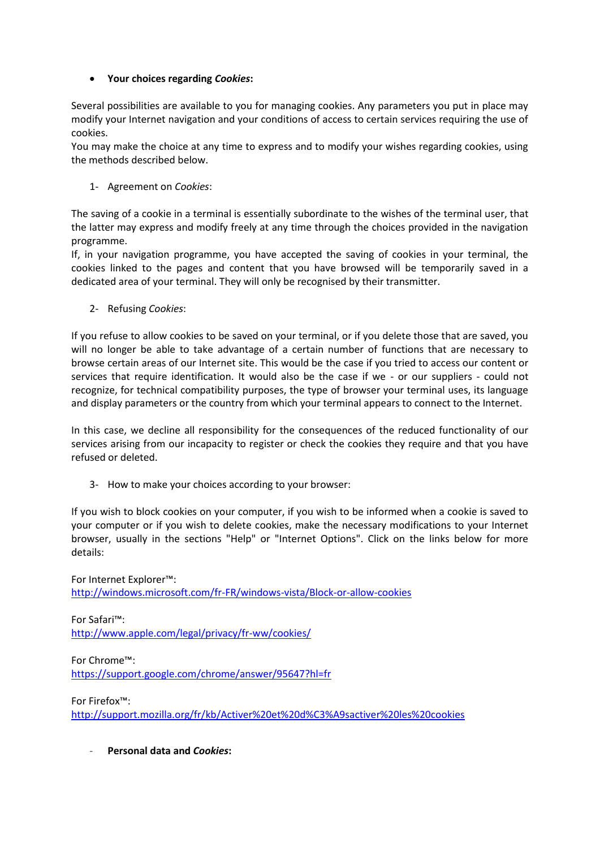## **Your choices regarding** *Cookies***:**

Several possibilities are available to you for managing cookies. Any parameters you put in place may modify your Internet navigation and your conditions of access to certain services requiring the use of cookies.

You may make the choice at any time to express and to modify your wishes regarding cookies, using the methods described below.

## 1- Agreement on *Cookies*:

The saving of a cookie in a terminal is essentially subordinate to the wishes of the terminal user, that the latter may express and modify freely at any time through the choices provided in the navigation programme.

If, in your navigation programme, you have accepted the saving of cookies in your terminal, the cookies linked to the pages and content that you have browsed will be temporarily saved in a dedicated area of your terminal. They will only be recognised by their transmitter.

2- Refusing *Cookies*:

If you refuse to allow cookies to be saved on your terminal, or if you delete those that are saved, you will no longer be able to take advantage of a certain number of functions that are necessary to browse certain areas of our Internet site. This would be the case if you tried to access our content or services that require identification. It would also be the case if we - or our suppliers - could not recognize, for technical compatibility purposes, the type of browser your terminal uses, its language and display parameters or the country from which your terminal appears to connect to the Internet.

In this case, we decline all responsibility for the consequences of the reduced functionality of our services arising from our incapacity to register or check the cookies they require and that you have refused or deleted.

3- How to make your choices according to your browser:

If you wish to block cookies on your computer, if you wish to be informed when a cookie is saved to your computer or if you wish to delete cookies, make the necessary modifications to your Internet browser, usually in the sections "Help" or "Internet Options". Click on the links below for more details:

For Internet Explorer™: <http://windows.microsoft.com/fr-FR/windows-vista/Block-or-allow-cookies>

For Safari™: <http://www.apple.com/legal/privacy/fr-ww/cookies/>

For Chrome™: <https://support.google.com/chrome/answer/95647?hl=fr>

For Firefox™:

[http://support.mozilla.org/fr/kb/Activer%20et%20d%C3%A9sactiver%20les%20cookies](http://support.mozilla.org/fr/kb/Activate%20and%20disable%20cookies)

- **Personal data and** *Cookies***:**